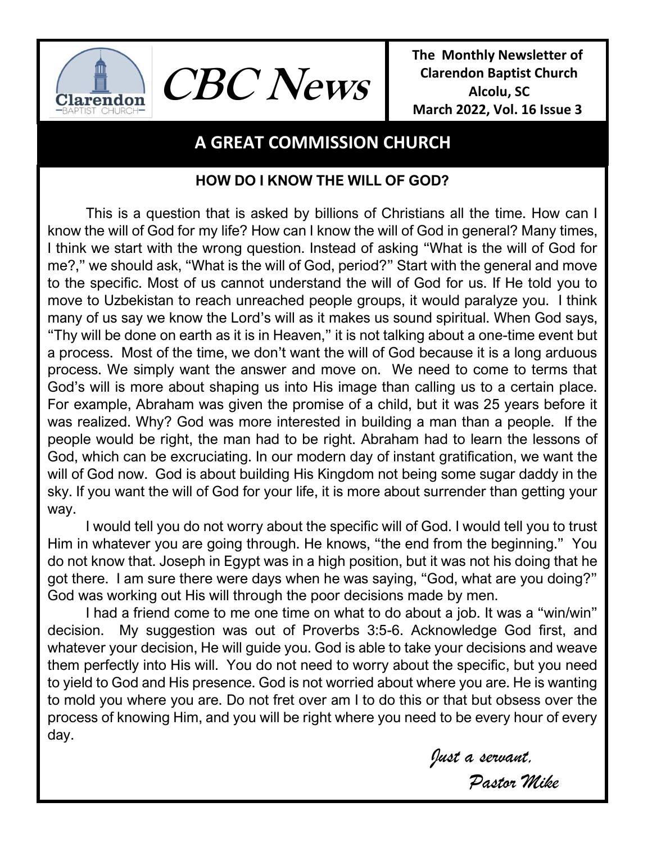

**The Monthly Newsletter of Clarendon Baptist Church Alcolu, SC March 2022, Vol. 16 Issue 3** 

# **A GREAT COMMISSION CHURCH**

**CBC News**

## **HOW DO I KNOW THE WILL OF GOD?**

This is a question that is asked by billions of Christians all the time. How can I know the will of God for my life? How can I know the will of God in general? Many times, I think we start with the wrong question. Instead of asking "What is the will of God for me?," we should ask, "What is the will of God, period?" Start with the general and move to the specific. Most of us cannot understand the will of God for us. If He told you to move to Uzbekistan to reach unreached people groups, it would paralyze you. I think many of us say we know the Lord's will as it makes us sound spiritual. When God says, "Thy will be done on earth as it is in Heaven," it is not talking about a one-time event but a process. Most of the time, we don't want the will of God because it is a long arduous process. We simply want the answer and move on. We need to come to terms that God's will is more about shaping us into His image than calling us to a certain place. For example, Abraham was given the promise of a child, but it was 25 years before it was realized. Why? God was more interested in building a man than a people. If the people would be right, the man had to be right. Abraham had to learn the lessons of God, which can be excruciating. In our modern day of instant gratification, we want the will of God now. God is about building His Kingdom not being some sugar daddy in the sky. If you want the will of God for your life, it is more about surrender than getting your way.

I would tell you do not worry about the specific will of God. I would tell you to trust Him in whatever you are going through. He knows, "the end from the beginning." You do not know that. Joseph in Egypt was in a high position, but it was not his doing that he got there. I am sure there were days when he was saying, "God, what are you doing?" God was working out His will through the poor decisions made by men.

I had a friend come to me one time on what to do about a job. It was a "win/win" decision. My suggestion was out of Proverbs 3:5-6. Acknowledge God first, and whatever your decision, He will guide you. God is able to take your decisions and weave them perfectly into His will. You do not need to worry about the specific, but you need to yield to God and His presence. God is not worried about where you are. He is wanting to mold you where you are. Do not fret over am I to do this or that but obsess over the process of knowing Him, and you will be right where you need to be every hour of every day.

*Just a servant,*

*Pastor Mike*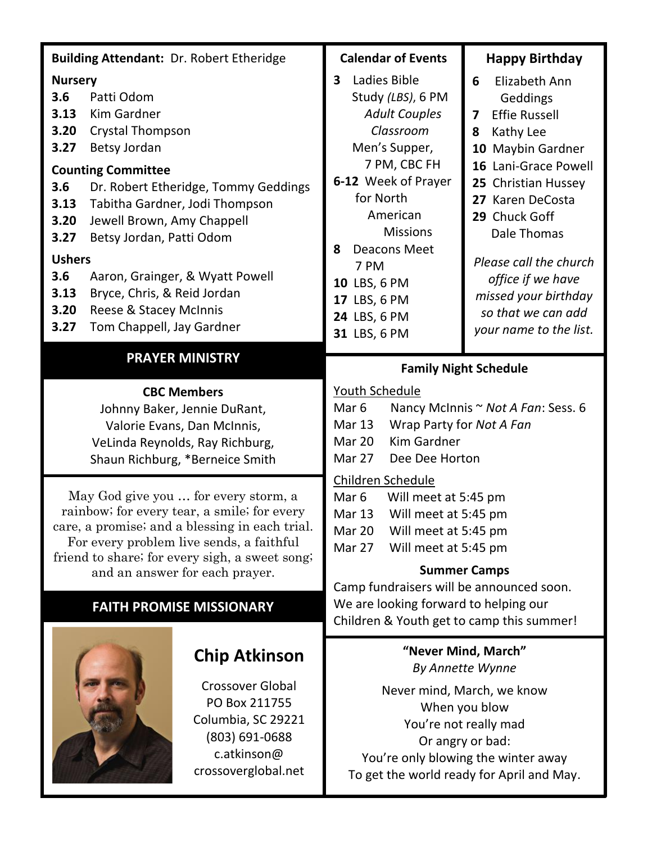| <b>Building Attendant: Dr. Robert Etheridge</b>                                                                                                                                                                                                                                                                                                                                                                                                                                                |  |                                                                                                                                                                                                                                                                                     | <b>Calendar of Events</b>                                                                                                                                                                                                                                                                                                    |                                                                                                                                                                                                                                                                                                                              | <b>Happy Birthday</b> |
|------------------------------------------------------------------------------------------------------------------------------------------------------------------------------------------------------------------------------------------------------------------------------------------------------------------------------------------------------------------------------------------------------------------------------------------------------------------------------------------------|--|-------------------------------------------------------------------------------------------------------------------------------------------------------------------------------------------------------------------------------------------------------------------------------------|------------------------------------------------------------------------------------------------------------------------------------------------------------------------------------------------------------------------------------------------------------------------------------------------------------------------------|------------------------------------------------------------------------------------------------------------------------------------------------------------------------------------------------------------------------------------------------------------------------------------------------------------------------------|-----------------------|
| <b>Nursery</b><br>3.6<br>Patti Odom<br>Kim Gardner<br>3.13<br>3.20<br><b>Crystal Thompson</b><br>3.27<br>Betsy Jordan<br><b>Counting Committee</b><br>3.6<br>Dr. Robert Etheridge, Tommy Geddings<br>Tabitha Gardner, Jodi Thompson<br>3.13<br>3.20<br>Jewell Brown, Amy Chappell<br>Betsy Jordan, Patti Odom<br>3.27<br><b>Ushers</b><br>3.6<br>Aaron, Grainger, & Wyatt Powell<br>3.13<br>Bryce, Chris, & Reid Jordan<br>3.20<br>Reese & Stacey McInnis<br>3.27<br>Tom Chappell, Jay Gardner |  | Ladies Bible<br>3<br>Study (LBS), 6 PM<br><b>Adult Couples</b><br>Classroom<br>Men's Supper,<br>7 PM, CBC FH<br>6-12 Week of Prayer<br>for North<br>American<br><b>Missions</b><br><b>Deacons Meet</b><br>8<br>7 PM<br>10 LBS, 6 PM<br>17 LBS, 6 PM<br>24 LBS, 6 PM<br>31 LBS, 6 PM |                                                                                                                                                                                                                                                                                                                              | 6<br>Elizabeth Ann<br>Geddings<br><b>Effie Russell</b><br>7<br>Kathy Lee<br>8<br>10 Maybin Gardner<br>16 Lani-Grace Powell<br>25 Christian Hussey<br>27 Karen DeCosta<br>29 Chuck Goff<br>Dale Thomas<br>Please call the church<br>office if we have<br>missed your birthday<br>so that we can add<br>your name to the list. |                       |
| <b>PRAYER MINISTRY</b>                                                                                                                                                                                                                                                                                                                                                                                                                                                                         |  |                                                                                                                                                                                                                                                                                     | <b>Family Night Schedule</b>                                                                                                                                                                                                                                                                                                 |                                                                                                                                                                                                                                                                                                                              |                       |
| <b>CBC Members</b><br>Johnny Baker, Jennie DuRant,<br>Valorie Evans, Dan McInnis,<br>VeLinda Reynolds, Ray Richburg,<br>Shaun Richburg, *Berneice Smith                                                                                                                                                                                                                                                                                                                                        |  |                                                                                                                                                                                                                                                                                     | Youth Schedule<br>Mar <sub>6</sub><br>Nancy McInnis ~ Not A Fan: Sess. 6<br><b>Mar 13</b><br>Wrap Party for Not A Fan<br><b>Kim Gardner</b><br>Mar 20<br>Mar 27<br>Dee Dee Horton                                                                                                                                            |                                                                                                                                                                                                                                                                                                                              |                       |
| May God give you  for every storm, a<br>rainbow; for every tear, a smile; for every<br>care, a promise; and a blessing in each trial.<br>For every problem live sends, a faithful<br>friend to share; for every sigh, a sweet song;<br>and an answer for each prayer.<br><b>FAITH PROMISE MISSIONARY</b>                                                                                                                                                                                       |  |                                                                                                                                                                                                                                                                                     | Children Schedule<br>Will meet at 5:45 pm<br>Mar <sub>6</sub><br>Will meet at 5:45 pm<br>Mar 13<br>Will meet at 5:45 pm<br>Mar 20<br>Mar 27<br>Will meet at 5:45 pm<br><b>Summer Camps</b><br>Camp fundraisers will be announced soon.<br>We are looking forward to helping our<br>Children & Youth get to camp this summer! |                                                                                                                                                                                                                                                                                                                              |                       |
| <b>Chip Atkinson</b><br><b>Crossover Global</b><br>PO Box 211755<br>Columbia, SC 29221<br>(803) 691-0688<br>c.atkinson@<br>crossoverglobal.net                                                                                                                                                                                                                                                                                                                                                 |  | "Never Mind, March"<br>By Annette Wynne<br>Never mind, March, we know<br>When you blow<br>You're not really mad<br>Or angry or bad:<br>You're only blowing the winter away<br>To get the world ready for April and May.                                                             |                                                                                                                                                                                                                                                                                                                              |                                                                                                                                                                                                                                                                                                                              |                       |